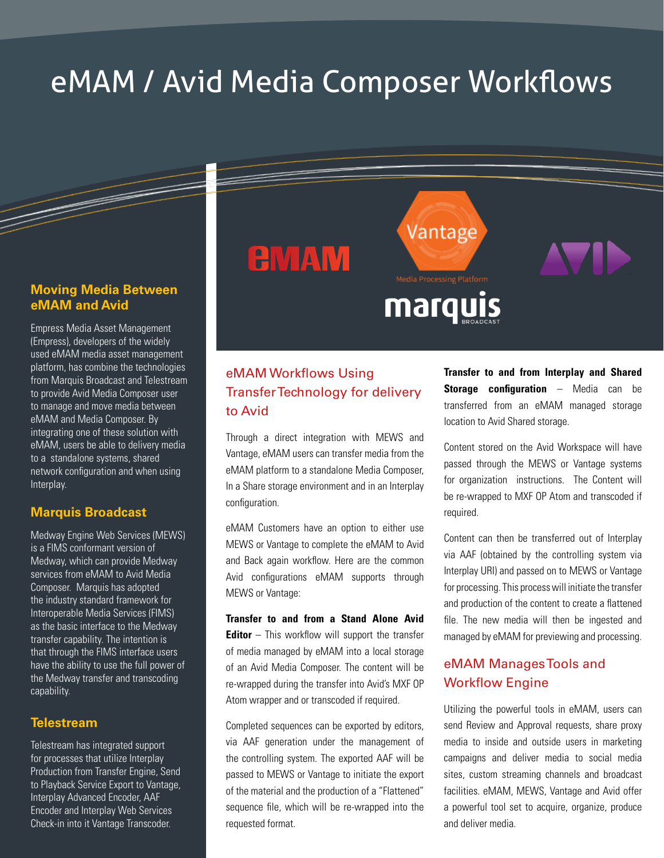# eMAM / Avid Media Composer Workflows

## **Moving Media Between eMAM and Avid**

Empress Media Asset Management (Empress), developers of the widely used eMAM media asset management platform, has combine the technologies from Marquis Broadcast and Telestream to provide Avid Media Composer user to manage and move media between eMAM and Media Composer. By integrating one of these solution with eMAM, users be able to delivery media to a standalone systems, shared network configuration and when using Interplay.

## **Marquis Broadcast**

Medway Engine Web Services (MEWS) is a FIMS conformant version of Medway, which can provide Medway services from eMAM to Avid Media Composer. Marquis has adopted the industry standard framework for Interoperable Media Services (FIMS) as the basic interface to the Medway transfer capability. The intention is that through the FIMS interface users have the ability to use the full power of the Medway transfer and transcoding capability.

## **Telestream**

Telestream has integrated support for processes that utilize Interplay Production from Transfer Engine, Send to Playback Service Export to Vantage, Interplay Advanced Encoder, AAF Encoder and Interplay Web Services Check-in into it Vantage Transcoder.

# eMAM Workflows Using Transfer Technology for delivery to Avid

**EMAM** 

Through a direct integration with MEWS and Vantage, eMAM users can transfer media from the eMAM platform to a standalone Media Composer, In a Share storage environment and in an Interplay configuration.

eMAM Customers have an option to either use MEWS or Vantage to complete the eMAM to Avid and Back again workflow. Here are the common Avid configurations eMAM supports through MEWS or Vantage:

**Transfer to and from a Stand Alone Avid Editor** – This workflow will support the transfer of media managed by eMAM into a local storage of an Avid Media Composer. The content will be re-wrapped during the transfer into Avid's MXF OP Atom wrapper and or transcoded if required.

Completed sequences can be exported by editors, via AAF generation under the management of the controlling system. The exported AAF will be passed to MEWS or Vantage to initiate the export of the material and the production of a "Flattened" sequence file, which will be re-wrapped into the requested format.

**Transfer to and from Interplay and Shared Storage configuration** – Media can be transferred from an eMAM managed storage location to Avid Shared storage.

Vantage

Media Processing Platform

marquis

Content stored on the Avid Workspace will have passed through the MEWS or Vantage systems for organization instructions. The Content will be re-wrapped to MXF OP Atom and transcoded if required.

Content can then be transferred out of Interplay via AAF (obtained by the controlling system via Interplay URI) and passed on to MEWS or Vantage for processing. This process will initiate the transfer and production of the content to create a flattened file. The new media will then be ingested and managed by eMAM for previewing and processing.

## eMAM Manages Tools and Workflow Engine

Utilizing the powerful tools in eMAM, users can send Review and Approval requests, share proxy media to inside and outside users in marketing campaigns and deliver media to social media sites, custom streaming channels and broadcast facilities. eMAM, MEWS, Vantage and Avid offer a powerful tool set to acquire, organize, produce and deliver media.